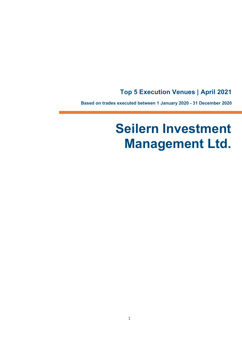## **Top 5 Execution Venues | April 2021**

**Based on trades executed between 1 January 2020 - 31 December 2020**

# **Seilern Investment Management Ltd.**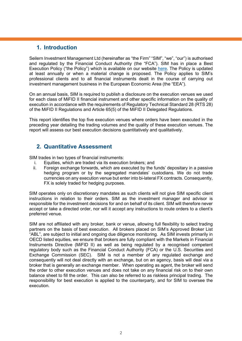## **1. Introduction**

Seilern Investment Management Ltd (hereinafter as "the Firm" "SIM", "we", "our") is authorised and regulated by the Financial Conduct Authority (the "FCA"). SIM has in place a Best Execution Policy ("the Policy") which is available on our website [here.](https://www.seilerninvest.com/en/about/regulatory-documents) The Policy is updated at least annually or when a material change is proposed. The Policy applies to SIM's professional clients and to all financial instruments dealt in the course of carrying out investment management business in the European Economic Area (the "EEA").

On an annual basis, SIM is required to publish a disclosure on the execution venues we used for each class of MiFID II financial instrument and other specific information on the quality of execution in accordance with the requirements of Regulatory Technical Standard 28 (RTS 28) of the MiFID II Regulations and Article 65(5) of the MiFID II Delegated Regulations.

This report identifies the top five execution venues where orders have been executed in the preceding year detailing the trading volumes and the quality of these execution venues. The report will assess our best execution decisions quantitatively and qualitatively.

## **2. Quantitative Assessment**

SIM trades in two types of financial instruments:

- i. Equities, which are traded via its execution brokers; and<br>ii. Foreign exchange forwards, which are executed by the fi
- Foreign exchange forwards, which are executed by the funds' depositary in a passive hedging program or by the segregated mandates' custodians. We do not trade currencies on any execution venue but enter into bi-lateral FX contracts. Consequently, FX is solely traded for hedging purposes.

SIM operates only on discretionary mandates as such clients will not give SIM specific client instructions in relation to their orders. SIM as the investment manager and advisor is responsible for the investment decisions for and on behalf of its client. SIM will therefore never accept or take a directed order, nor will it accept any instructions to route orders to a client's preferred venue.

SIM are not affiliated with any broker, bank or venue, allowing full flexibility to select trading partners on the basis of best execution. All brokers placed on SIM's Approved Broker List "ABL", are subject to initial and ongoing due diligence monitoring. As SIM invests primarily in OECD listed equities, we ensure that brokers are fully compliant with the Markets in Financial Instruments Directive (MiFID II) as well as being regulated by a recognised competent regulatory body such as the Financial Conduct Authority (FCA) or the U.S. Securities and Exchange Commission (SEC). SIM is not a member of any regulated exchange and consequently will not deal directly with an exchange, but on an agency, basis will deal via a broker that is generally an exchange member. When operating as agent, the broker will send the order to other execution venues and does not take on any financial risk on to their own balance sheet to fill the order. This can also be referred to as riskless principal trading. The responsibility for best execution is applied to the counterparty, and for SIM to oversee the execution.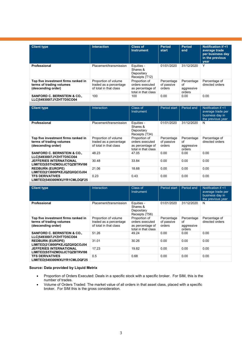| <b>Client type</b>                                                                    | <b>Interaction</b>                                                       | <b>Class of</b><br><b>Instrument</b>                                        | <b>Period</b><br>start             | <b>Period</b><br>end                     | Notification if <1<br>average trade<br>per business day<br>in the previous<br>year |
|---------------------------------------------------------------------------------------|--------------------------------------------------------------------------|-----------------------------------------------------------------------------|------------------------------------|------------------------------------------|------------------------------------------------------------------------------------|
| Professional                                                                          | Placement/transmission                                                   | Equities -<br>Shares &<br>Depositary<br>Receipts (T12)                      | 01/01/2020                         | 31/12/2020                               | Υ                                                                                  |
| Top five investment firms ranked in<br>terms of trading volumes<br>(descending order) | Proportion of volume<br>traded as a percentage<br>of total in that class | Proportion of<br>orders executed<br>as percentage of<br>total in that class | Percentage<br>of passive<br>orders | Percentage<br>οf<br>aggressive<br>orders | Percentage of<br>directed orders                                                   |
| <b>SANFORD C. BERNSTEIN &amp; CO.,</b><br>LLCI54930017JYZHT7D5CO04                    | 100                                                                      | 100                                                                         | 0.00                               | 0.00                                     | 0.00                                                                               |

| <b>Client type</b>                                                                    | Interaction                                                              | Class of<br>Instrument                                                      | Period start                       | Period end                               | Notification if <1<br>average trade per<br>business day in<br>the previous year |
|---------------------------------------------------------------------------------------|--------------------------------------------------------------------------|-----------------------------------------------------------------------------|------------------------------------|------------------------------------------|---------------------------------------------------------------------------------|
| Professional                                                                          | Placement/transmission                                                   | Equities -<br>Shares &<br>Depositary<br>Receipts (T34)                      | 01/01/2020                         | 31/12/2020                               | N                                                                               |
| Top five investment firms ranked in<br>terms of trading volumes<br>(descending order) | Proportion of volume<br>traded as a percentage<br>of total in that class | Proportion of<br>orders executed<br>as percentage of<br>total in that class | Percentage<br>of passive<br>orders | Percentage<br>οf<br>aggressive<br>orders | Percentage of<br>directed orders                                                |
| <b>SANFORD C. BERNSTEIN &amp; CO.,</b><br>LLC 549300I7JYZHT7D5CO04                    | 48.23                                                                    | 47.05                                                                       | 0.00                               | 0.00                                     | 0.00                                                                            |
| <b>JEFFERIES INTERNATIONAL</b><br>LIMITED S5THZMDUJCTQZBTRVI98                        | 30.48                                                                    | 33.84                                                                       | 0.00                               | 0.00                                     | 0.00                                                                            |
| <b>REDBURN (EUROPE)</b><br>LIMITED 213800PKEJQZQXQCOJ04                               | 21.06                                                                    | 18.68                                                                       | 0.00                               | 0.00                                     | 0.00                                                                            |
| <b>TFS DERIVATIVES</b><br>LIMITED 549300WXUYR1CMLDQF25                                | 0.23                                                                     | 0.43                                                                        | 0.00                               | 0.00                                     | 0.00                                                                            |

| <b>Client type</b>                                                                    | <b>Interaction</b>                                                       | Class of<br>Instrument                                                      | Period start                       | Period end                               | Notification if <1<br>average trade per<br>business day in<br>the previous year |
|---------------------------------------------------------------------------------------|--------------------------------------------------------------------------|-----------------------------------------------------------------------------|------------------------------------|------------------------------------------|---------------------------------------------------------------------------------|
| Professional                                                                          | Placement/transmission                                                   | Equities -<br>Shares &<br>Depositary<br>Receipts (T56)                      | 01/01/2020                         | 31/12/2020                               | N                                                                               |
| Top five investment firms ranked in<br>terms of trading volumes<br>(descending order) | Proportion of volume<br>traded as a percentage<br>of total in that class | Proportion of<br>orders executed<br>as percentage of<br>total in that class | Percentage<br>of passive<br>orders | Percentage<br>Ωf<br>aggressive<br>orders | Percentage of<br>directed orders                                                |
| <b>SANFORD C. BERNSTEIN &amp; CO.,</b><br>LLC 549300I7JYZHT7D5CO04                    | 51.26                                                                    | 49.24                                                                       | 0.00                               | 0.00                                     | 0.00                                                                            |
| <b>REDBURN (EUROPE)</b><br>LIMITED 213800PKEJQZQXQCOJ04                               | 31.01                                                                    | 30.26                                                                       | 0.00                               | 0.00                                     | 0.00                                                                            |
| <b>JEFFERIES INTERNATIONAL</b><br>LIMITED S5THZMDUJCTQZBTRVI98                        | 17.23                                                                    | 19.82                                                                       | 0.00                               | 0.00                                     | 0.00                                                                            |
| <b>TFS DERIVATIVES</b><br>LIMITED 549300WXUYR1CMLDQF25                                | 0.5                                                                      | 0.68                                                                        | 0.00                               | 0.00                                     | 0.00                                                                            |

#### **Source: Data provided by Liquid Metrix**

- Proportion of Orders Executed: Deals in a specific stock with a specific broker. For SIM, this is the number of trades.
- Volume of Orders Traded: The market value of all orders in that asset class, placed with a specific broker. For SIM this is the gross consideration.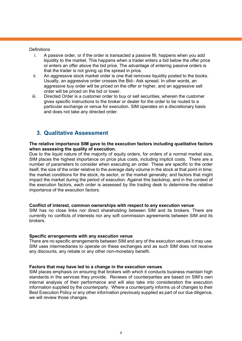#### **Definitions**

- i. A passive order, or if the order is transacted a passive fill, happens when you add liquidity to the market. This happens when a trader enters a bid below the offer price or enters an offer above the bid price. The advantage of entering passive orders is that the trader is not giving up the spread in price.
- ii. An aggressive stock market order is one that removes liquidity posted to the books. Usually, an aggressive order crosses the Bid– Ask spread. In other words, an aggressive buy order will be priced on the offer or higher, and an aggressive sell order will be priced on the bid or lower.
- iii. Directed Order is a customer order to buy or sell securities, wherein the customer gives specific instructions to the broker or dealer for the order to be routed to a particular exchange or venue for execution. SIM operates on a discretionary basis and does not take any directed order.

## **3. Qualitative Assessment**

#### **The relative importance SIM gave to the execution factors including qualitative factors when assessing the quality of execution.**

Due to the liquid nature of the majority of equity orders, for orders of a normal market size, SIM places the highest importance on price plus costs, including implicit costs. There are a number of parameters to consider when executing an order. These are specific to the order itself, the size of the order relative to the average daily volume in the stock at that point in time; the market conditions for the stock, its sector, or the market generally; and factors that might impact the market during the period of execution. Against this backdrop, and in the context of the execution factors, each order is assessed by the trading desk to determine the relative importance of the execution factors.

#### **Conflict of interest, common ownerships with respect to any execution venue**

SIM has no close links nor direct shareholding between SIM and its brokers. There are currently no conflicts of interests nor any soft commission agreements between SIM and its brokers.

#### **Specific arrangements with any execution venue**

There are no specific arrangements between SIM and any of the execution venues it may use. SIM uses intermediaries to operate on these exchanges and as such SIM does not receive any discounts, any rebate or any other non-monetary benefit.

#### **Factors that may have led to a change in the execution venues**

SIM places emphasis on ensuring that brokers with which it conducts business maintain high standards in the services they provide. Reviews of counterparties are based on SIM's own internal analysis of their performance and will also take into consideration the execution information supplied by the counterparty. Where a counterparty informs us of changes to their Best Execution Policy or any other information previously supplied as part of our due diligence, we will review those changes.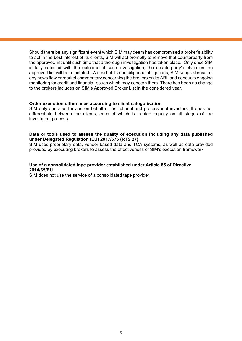Should there be any significant event which SIM may deem has compromised a broker's ability to act in the best interest of its clients, SIM will act promptly to remove that counterparty from the approved list until such time that a thorough investigation has taken place. Only once SIM is fully satisfied with the outcome of such investigation, the counterparty's place on the approved list will be reinstated. As part of its due diligence obligations, SIM keeps abreast of any news flow or market commentary concerning the brokers on its ABL and conducts ongoing monitoring for credit and financial issues which may concern them. There has been no change to the brokers includes on SIM's Approved Broker List in the considered year.

#### **Order execution differences according to client categorisation**

SIM only operates for and on behalf of institutional and professional investors. It does not differentiate between the clients, each of which is treated equally on all stages of the investment process.

#### **Data or tools used to assess the quality of execution including any data published under Delegated Regulation (EU) 2017/575 (RTS 27)**

SIM uses proprietary data, vendor-based data and TCA systems, as well as data provided provided by executing brokers to assess the effectiveness of SIM's execution framework

#### **Use of a consolidated tape provider established under Article 65 of Directive 2014/65/EU**

SIM does not use the service of a consolidated tape provider.